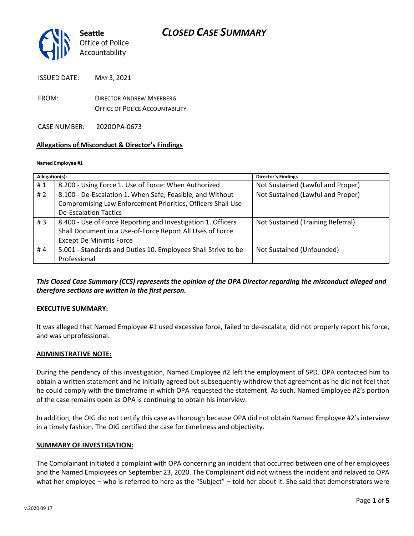

ISSUED DATE: MAY 3, 2021

FROM: DIRECTOR ANDREW MYERBERG OFFICE OF POLICE ACCOUNTABILITY

CASE NUMBER: 2020OPA-0673

### **Allegations of Misconduct & Director's Findings**

#### **Named Employee #1**

| Allegation(s): |                                                               | <b>Director's Findings</b>        |
|----------------|---------------------------------------------------------------|-----------------------------------|
| #1             | 8.200 - Using Force 1. Use of Force: When Authorized          | Not Sustained (Lawful and Proper) |
| #2             | 8.100 - De-Escalation 1. When Safe, Feasible, and Without     | Not Sustained (Lawful and Proper) |
|                | Compromising Law Enforcement Priorities, Officers Shall Use   |                                   |
|                | <b>De-Escalation Tactics</b>                                  |                                   |
| #3             | 8.400 - Use of Force Reporting and Investigation 1. Officers  | Not Sustained (Training Referral) |
|                | Shall Document in a Use-of-Force Report All Uses of Force     |                                   |
|                | <b>Except De Minimis Force</b>                                |                                   |
| #4             | 5.001 - Standards and Duties 10. Employees Shall Strive to be | Not Sustained (Unfounded)         |
|                | Professional                                                  |                                   |
|                |                                                               |                                   |

## *This Closed Case Summary (CCS) represents the opinion of the OPA Director regarding the misconduct alleged and therefore sections are written in the first person.*

### **EXECUTIVE SUMMARY:**

It was alleged that Named Employee #1 used excessive force, failed to de-escalate, did not properly report his force, and was unprofessional.

#### **ADMINISTRATIVE NOTE:**

During the pendency of this investigation, Named Employee #2 left the employment of SPD. OPA contacted him to obtain a written statement and he initially agreed but subsequently withdrew that agreement as he did not feel that he could comply with the timeframe in which OPA requested the statement. As such, Named Employee #2's portion of the case remains open as OPA is continuing to obtain his interview.

In addition, the OIG did not certify this case as thorough because OPA did not obtain Named Employee #2's interview in a timely fashion. The OIG certified the case for timeliness and objectivity.

#### **SUMMARY OF INVESTIGATION:**

The Complainant initiated a complaint with OPA concerning an incident that occurred between one of her employees and the Named Employees on September 23, 2020. The Complainant did not witness the incident and relayed to OPA what her employee – who is referred to here as the "Subject" – told her about it. She said that demonstrators were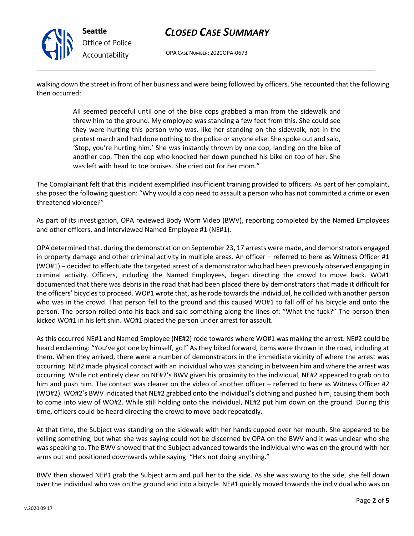

## *CLOSED CASE SUMMARY*

OPA CASE NUMBER: 2020OPA-0673

walking down the street in front of her business and were being followed by officers. She recounted that the following then occurred:

> All seemed peaceful until one of the bike cops grabbed a man from the sidewalk and threw him to the ground. My employee was standing a few feet from this. She could see they were hurting this person who was, like her standing on the sidewalk, not in the protest march and had done nothing to the police or anyone else. She spoke out and said, 'Stop, you're hurting him.' She was instantly thrown by one cop, landing on the bike of another cop. Then the cop who knocked her down punched his bike on top of her. She was left with head to toe bruises. She cried out for her mom."

The Complainant felt that this incident exemplified insufficient training provided to officers. As part of her complaint, she posed the following question: "Why would a cop need to assault a person who has not committed a crime or even threatened violence?"

As part of its investigation, OPA reviewed Body Worn Video (BWV), reporting completed by the Named Employees and other officers, and interviewed Named Employee #1 (NE#1).

OPA determined that, during the demonstration on September 23, 17 arrests were made, and demonstrators engaged in property damage and other criminal activity in multiple areas. An officer – referred to here as Witness Officer #1 (WO#1) – decided to effectuate the targeted arrest of a demonstrator who had been previously observed engaging in criminal activity. Officers, including the Named Employees, began directing the crowd to move back. WO#1 documented that there was debris in the road that had been placed there by demonstrators that made it difficult for the officers' bicycles to proceed. WO#1 wrote that, as he rode towards the individual, he collided with another person who was in the crowd. That person fell to the ground and this caused WO#1 to fall off of his bicycle and onto the person. The person rolled onto his back and said something along the lines of: "What the fuck?" The person then kicked WO#1 in his left shin. WO#1 placed the person under arrest for assault.

As this occurred NE#1 and Named Employee (NE#2) rode towards where WO#1 was making the arrest. NE#2 could be heard exclaiming: "You've got one by himself, go!" As they biked forward, items were thrown in the road, including at them. When they arrived, there were a number of demonstrators in the immediate vicinity of where the arrest was occurring. NE#2 made physical contact with an individual who was standing in between him and where the arrest was occurring. While not entirely clear on NE#2's BWV given his proximity to the individual, NE#2 appeared to grab on to him and push him. The contact was clearer on the video of another officer – referred to here as Witness Officer #2 (WO#2). WO#2's BWV indicated that NE#2 grabbed onto the individual's clothing and pushed him, causing them both to come into view of WO#2. While still holding onto the individual, NE#2 put him down on the ground. During this time, officers could be heard directing the crowd to move back repeatedly.

At that time, the Subject was standing on the sidewalk with her hands cupped over her mouth. She appeared to be yelling something, but what she was saying could not be discerned by OPA on the BWV and it was unclear who she was speaking to. The BWV showed that the Subject advanced towards the individual who was on the ground with her arms out and positioned downwards while saying: "He's not doing anything."

BWV then showed NE#1 grab the Subject arm and pull her to the side. As she was swung to the side, she fell down over the individual who was on the ground and into a bicycle. NE#1 quickly moved towards the individual who was on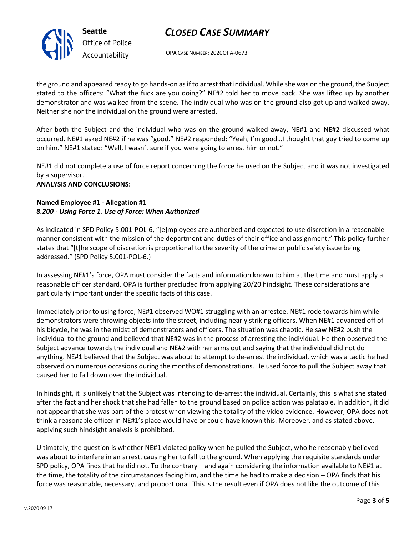# *CLOSED CASE SUMMARY*

OPA CASE NUMBER: 2020OPA-0673

the ground and appeared ready to go hands-on as if to arrest that individual. While she was on the ground, the Subject stated to the officers: "What the fuck are you doing?" NE#2 told her to move back. She was lifted up by another demonstrator and was walked from the scene. The individual who was on the ground also got up and walked away. Neither she nor the individual on the ground were arrested.

After both the Subject and the individual who was on the ground walked away, NE#1 and NE#2 discussed what occurred. NE#1 asked NE#2 if he was "good." NE#2 responded: "Yeah, I'm good…I thought that guy tried to come up on him." NE#1 stated: "Well, I wasn't sure if you were going to arrest him or not."

NE#1 did not complete a use of force report concerning the force he used on the Subject and it was not investigated by a supervisor.

### **ANALYSIS AND CONCLUSIONS:**

### **Named Employee #1 - Allegation #1** *8.200 - Using Force 1. Use of Force: When Authorized*

As indicated in SPD Policy 5.001-POL-6, "[e]mployees are authorized and expected to use discretion in a reasonable manner consistent with the mission of the department and duties of their office and assignment." This policy further states that "[t]he scope of discretion is proportional to the severity of the crime or public safety issue being addressed." (SPD Policy 5.001-POL-6.)

In assessing NE#1's force, OPA must consider the facts and information known to him at the time and must apply a reasonable officer standard. OPA is further precluded from applying 20/20 hindsight. These considerations are particularly important under the specific facts of this case.

Immediately prior to using force, NE#1 observed WO#1 struggling with an arrestee. NE#1 rode towards him while demonstrators were throwing objects into the street, including nearly striking officers. When NE#1 advanced off of his bicycle, he was in the midst of demonstrators and officers. The situation was chaotic. He saw NE#2 push the individual to the ground and believed that NE#2 was in the process of arresting the individual. He then observed the Subject advance towards the individual and NE#2 with her arms out and saying that the individual did not do anything. NE#1 believed that the Subject was about to attempt to de-arrest the individual, which was a tactic he had observed on numerous occasions during the months of demonstrations. He used force to pull the Subject away that caused her to fall down over the individual.

In hindsight, it is unlikely that the Subject was intending to de-arrest the individual. Certainly, this is what she stated after the fact and her shock that she had fallen to the ground based on police action was palatable. In addition, it did not appear that she was part of the protest when viewing the totality of the video evidence. However, OPA does not think a reasonable officer in NE#1's place would have or could have known this. Moreover, and as stated above, applying such hindsight analysis is prohibited.

Ultimately, the question is whether NE#1 violated policy when he pulled the Subject, who he reasonably believed was about to interfere in an arrest, causing her to fall to the ground. When applying the requisite standards under SPD policy, OPA finds that he did not. To the contrary – and again considering the information available to NE#1 at the time, the totality of the circumstances facing him, and the time he had to make a decision – OPA finds that his force was reasonable, necessary, and proportional. This is the result even if OPA does not like the outcome of this



**Seattle** *Office of Police Accountability*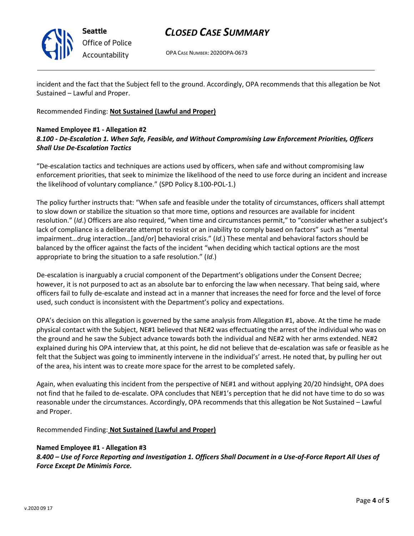

**Seattle** *Office of Police Accountability*

# *CLOSED CASE SUMMARY*

OPA CASE NUMBER: 2020OPA-0673

incident and the fact that the Subject fell to the ground. Accordingly, OPA recommends that this allegation be Not Sustained – Lawful and Proper.

Recommended Finding: **Not Sustained (Lawful and Proper)**

## **Named Employee #1 - Allegation #2**

## *8.100 - De-Escalation 1. When Safe, Feasible, and Without Compromising Law Enforcement Priorities, Officers Shall Use De-Escalation Tactics*

"De-escalation tactics and techniques are actions used by officers, when safe and without compromising law enforcement priorities, that seek to minimize the likelihood of the need to use force during an incident and increase the likelihood of voluntary compliance." (SPD Policy 8.100-POL-1.)

The policy further instructs that: "When safe and feasible under the totality of circumstances, officers shall attempt to slow down or stabilize the situation so that more time, options and resources are available for incident resolution." (*Id*.) Officers are also required, "when time and circumstances permit," to "consider whether a subject's lack of compliance is a deliberate attempt to resist or an inability to comply based on factors" such as "mental impairment…drug interaction…[and/or] behavioral crisis." (*Id*.) These mental and behavioral factors should be balanced by the officer against the facts of the incident "when deciding which tactical options are the most appropriate to bring the situation to a safe resolution." (*Id*.)

De-escalation is inarguably a crucial component of the Department's obligations under the Consent Decree; however, it is not purposed to act as an absolute bar to enforcing the law when necessary. That being said, where officers fail to fully de-escalate and instead act in a manner that increases the need for force and the level of force used, such conduct is inconsistent with the Department's policy and expectations.

OPA's decision on this allegation is governed by the same analysis from Allegation #1, above. At the time he made physical contact with the Subject, NE#1 believed that NE#2 was effectuating the arrest of the individual who was on the ground and he saw the Subject advance towards both the individual and NE#2 with her arms extended. NE#2 explained during his OPA interview that, at this point, he did not believe that de-escalation was safe or feasible as he felt that the Subject was going to imminently intervene in the individual's' arrest. He noted that, by pulling her out of the area, his intent was to create more space for the arrest to be completed safely.

Again, when evaluating this incident from the perspective of NE#1 and without applying 20/20 hindsight, OPA does not find that he failed to de-escalate. OPA concludes that NE#1's perception that he did not have time to do so was reasonable under the circumstances. Accordingly, OPA recommends that this allegation be Not Sustained – Lawful and Proper.

Recommended Finding: **Not Sustained (Lawful and Proper)**

## **Named Employee #1 - Allegation #3**

*8.400 – Use of Force Reporting and Investigation 1. Officers Shall Document in a Use-of-Force Report All Uses of Force Except De Minimis Force.*